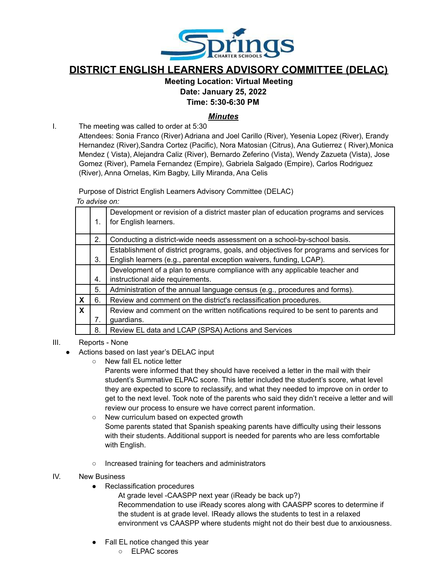

# **DISTRICT ENGLISH LEARNERS ADVISORY COMMITTEE (DELAC)**

## **Meeting Location: Virtual Meeting Date: January 25, 2022**

**Time: 5:30-6:30 PM**

## *Minutes*

I. The meeting was called to order at 5:30

Attendees: Sonia Franco (River) Adriana and Joel Carillo (River), Yesenia Lopez (River), Erandy Hernandez (River),Sandra Cortez (Pacific), Nora Matosian (Citrus), Ana Gutierrez ( River),Monica Mendez ( Vista), Alejandra Caliz (River), Bernardo Zeferino (Vista), Wendy Zazueta (Vista), Jose Gomez (River), Pamela Fernandez (Empire), Gabriela Salgado (Empire), Carlos Rodriguez (River), Anna Ornelas, Kim Bagby, Lilly Miranda, Ana Celis

Purpose of District English Learners Advisory Committee (DELAC)

*To advise on:*

|                           | 1. | Development or revision of a district master plan of education programs and services<br>for English learners.                                                  |
|---------------------------|----|----------------------------------------------------------------------------------------------------------------------------------------------------------------|
|                           | 2. | Conducting a district-wide needs assessment on a school-by-school basis.                                                                                       |
|                           | 3. | Establishment of district programs, goals, and objectives for programs and services for<br>English learners (e.g., parental exception waivers, funding, LCAP). |
|                           |    | Development of a plan to ensure compliance with any applicable teacher and                                                                                     |
|                           | 4. | instructional aide requirements.                                                                                                                               |
|                           | 5. | Administration of the annual language census (e.g., procedures and forms).                                                                                     |
| $\boldsymbol{\mathsf{x}}$ | 6. | Review and comment on the district's reclassification procedures.                                                                                              |
| $\boldsymbol{\mathsf{x}}$ |    | Review and comment on the written notifications required to be sent to parents and                                                                             |
|                           |    | guardians.                                                                                                                                                     |
|                           | 8. | Review EL data and LCAP (SPSA) Actions and Services                                                                                                            |
|                           |    |                                                                                                                                                                |

### III. Reports - None

- Actions based on last year's DELAC input
	- New fall EL notice letter

Parents were informed that they should have received a letter in the mail with their student's Summative ELPAC score. This letter included the student's score, what level they are expected to score to reclassify, and what they needed to improve on in order to get to the next level. Took note of the parents who said they didn't receive a letter and will review our process to ensure we have correct parent information.

- New curriculum based on expected growth Some parents stated that Spanish speaking parents have difficulty using their lessons with their students. Additional support is needed for parents who are less comfortable with English.
- Increased training for teachers and administrators

#### IV. New Business

● Reclassification procedures

At grade level -CAASPP next year (iReady be back up?) Recommendation to use iReady scores along with CAASPP scores to determine if the student is at grade level. IReady allows the students to test in a relaxed environment vs CAASPP where students might not do their best due to anxiousness.

- Fall EL notice changed this year
	- ELPAC scores